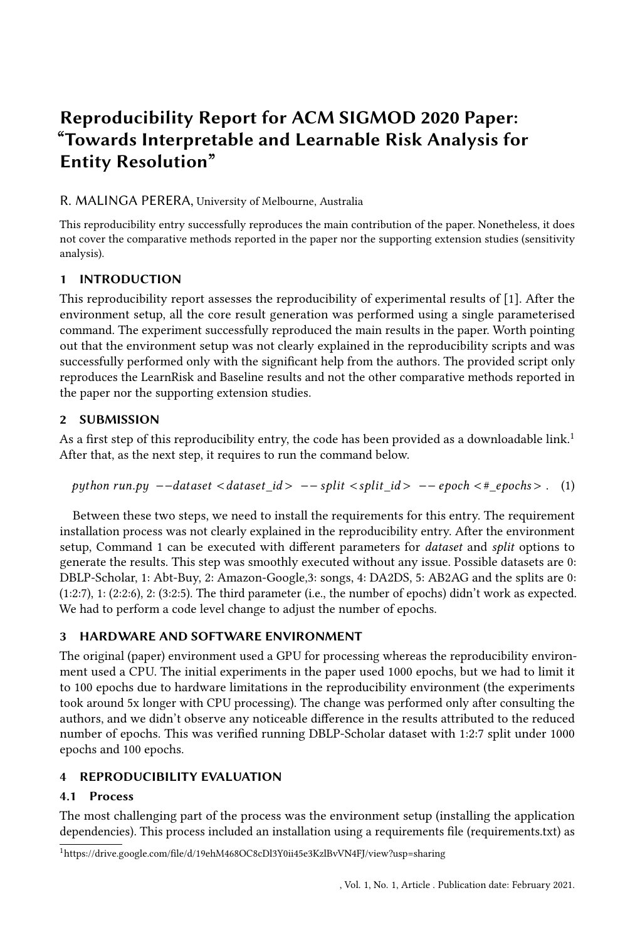# Reproducibility Report for ACM SIGMOD 2020 Paper: "Towards Interpretable and Learnable Risk Analysis for Entity Resolution"

#### R. MALINGA PERERA, University of Melbourne, Australia

This reproducibility entry successfully reproduces the main contribution of the paper. Nonetheless, it does not cover the comparative methods reported in the paper nor the supporting extension studies (sensitivity analysis).

## 1 INTRODUCTION

This reproducibility report assesses the reproducibility of experimental results of [\[1\]](#page-2-0). After the environment setup, all the core result generation was performed using a single parameterised command. The experiment successfully reproduced the main results in the paper. Worth pointing out that the environment setup was not clearly explained in the reproducibility scripts and was successfully performed only with the significant help from the authors. The provided script only reproduces the LearnRisk and Baseline results and not the other comparative methods reported in the paper nor the supporting extension studies.

## 2 SUBMISSION

As a first step of this reproducibility entry, the code has been provided as a downloadable link.<sup>[1](#page-0-0)</sup> After that, as the next step, it requires to run the command below.

```
python run.py --dataset <|id> ---split <|id> --epoch <#_epochs>. (1)
```
Between these two steps, we need to install the requirements for this entry. The requirement installation process was not clearly explained in the reproducibility entry. After the environment setup, Command [1](#page-0-1) can be executed with different parameters for dataset and split options to generate the results. This step was smoothly executed without any issue. Possible datasets are 0: DBLP-Scholar, 1: Abt-Buy, 2: Amazon-Google,3: songs, 4: DA2DS, 5: AB2AG and the splits are 0: (1:2:7), 1: (2:2:6), 2: (3:2:5). The third parameter (i.e., the number of epochs) didn't work as expected. We had to perform a code level change to adjust the number of epochs.

# 3 HARDWARE AND SOFTWARE ENVIRONMENT

The original (paper) environment used a GPU for processing whereas the reproducibility environment used a CPU. The initial experiments in the paper used 1000 epochs, but we had to limit it to 100 epochs due to hardware limitations in the reproducibility environment (the experiments took around 5x longer with CPU processing). The change was performed only after consulting the authors, and we didn't observe any noticeable difference in the results attributed to the reduced number of epochs. This was verified running DBLP-Scholar dataset with 1:2:7 split under 1000 epochs and 100 epochs.

# 4 REPRODUCIBILITY EVALUATION

# 4.1 Process

The most challenging part of the process was the environment setup (installing the application dependencies). This process included an installation using a requirements file (requirements.txt) as

<span id="page-0-0"></span><sup>1</sup>https://drive.google.com/file/d/19ehM468OC8cDl3Y0ii45e3KzlBvVN4FJ/view?usp=sharing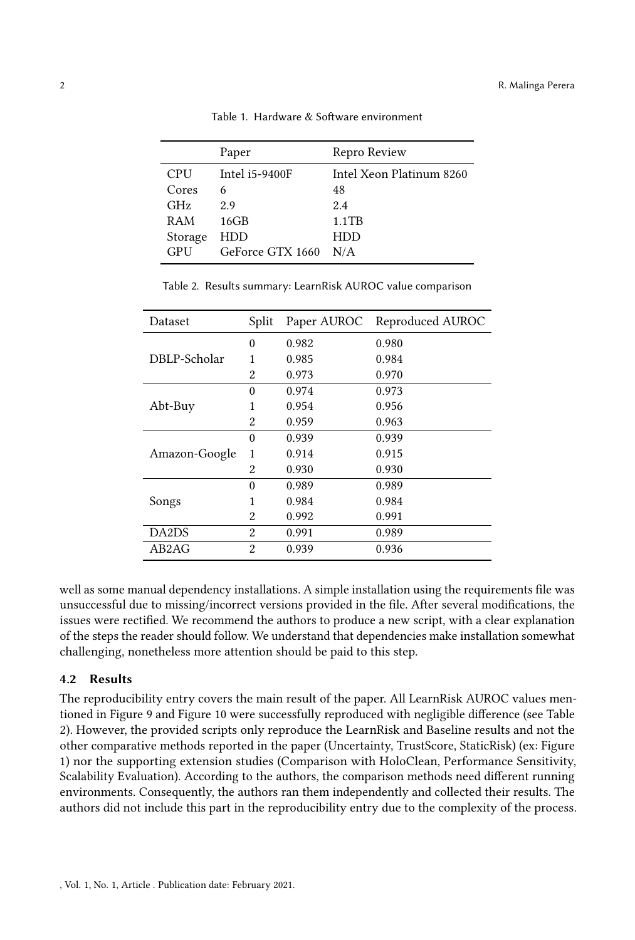|            | Paper            | Repro Review             |
|------------|------------------|--------------------------|
| <b>CPU</b> | Intel i5-9400F   | Intel Xeon Platinum 8260 |
| Cores      | 6                | 48                       |
| GHz        | 29               | 2.4                      |
| RAM        | $16$ GB          | $1.1$ TB                 |
| Storage    | HDD              | HDD                      |
| GPU        | GeForce GTX 1660 | N/A                      |

Table 1. Hardware & Software environment

|  |  |  |  |  |  | Table 2. Results summary: LearnRisk AUROC value comparison |
|--|--|--|--|--|--|------------------------------------------------------------|
|--|--|--|--|--|--|------------------------------------------------------------|

<span id="page-1-0"></span>

| Dataset       | Split          |       | Paper AUROC Reproduced AUROC |
|---------------|----------------|-------|------------------------------|
|               | $\Omega$       | 0.982 | 0.980                        |
| DBLP-Scholar  | 1              | 0.985 | 0.984                        |
|               | 2              | 0.973 | 0.970                        |
|               | $\Omega$       | 0.974 | 0.973                        |
| Abt-Buy       | 1              | 0.954 | 0.956                        |
|               | 2              | 0.959 | 0.963                        |
|               | $\Omega$       | 0.939 | 0.939                        |
| Amazon-Google | 1              | 0.914 | 0.915                        |
|               | 2              | 0.930 | 0.930                        |
|               | $\Omega$       | 0.989 | 0.989                        |
| Songs         |                | 0.984 | 0.984                        |
|               | $\mathfrak{D}$ | 0.992 | 0.991                        |
| DA2DS         | 2              | 0.991 | 0.989                        |
| AB2AG         | $\mathfrak{D}$ | 0.939 | 0.936                        |

well as some manual dependency installations. A simple installation using the requirements file was unsuccessful due to missing/incorrect versions provided in the file. After several modifications, the issues were rectified. We recommend the authors to produce a new script, with a clear explanation of the steps the reader should follow. We understand that dependencies make installation somewhat challenging, nonetheless more attention should be paid to this step.

#### 4.2 Results

The reproducibility entry covers the main result of the paper. All LearnRisk AUROC values mentioned in Figure 9 and Figure 10 were successfully reproduced with negligible difference (see Table [2\)](#page-1-0). However, the provided scripts only reproduce the LearnRisk and Baseline results and not the other comparative methods reported in the paper (Uncertainty, TrustScore, StaticRisk) (ex: Figure [1\)](#page-2-1) nor the supporting extension studies (Comparison with HoloClean, Performance Sensitivity, Scalability Evaluation). According to the authors, the comparison methods need different running environments. Consequently, the authors ran them independently and collected their results. The authors did not include this part in the reproducibility entry due to the complexity of the process.